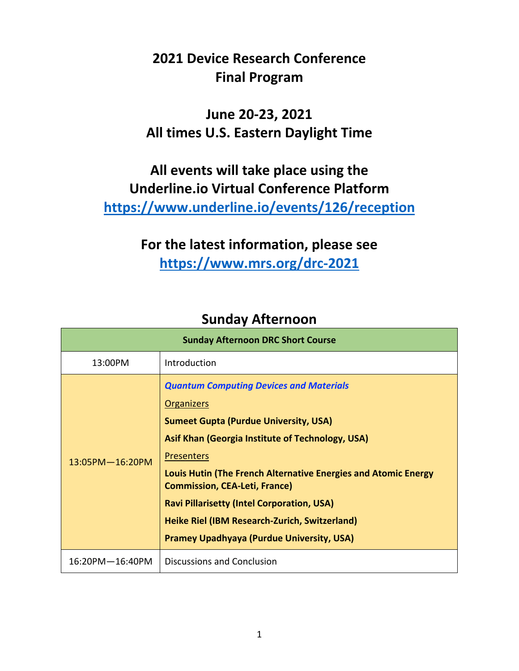## **2021 Device Research Conference Final Program**

### **June 20‐23, 2021 All times U.S. Eastern Daylight Time**

## **All events will take place using the Underline.io Virtual Conference Platform https://www.underline.io/events/126/reception**

### **For the latest information, please see https://www.mrs.org/drc‐2021**

### **Sunday Afternoon**

| <b>Sunday Afternoon DRC Short Course</b> |                                                                                                                                                                                                                                                                                                                                                                                                                                                                  |
|------------------------------------------|------------------------------------------------------------------------------------------------------------------------------------------------------------------------------------------------------------------------------------------------------------------------------------------------------------------------------------------------------------------------------------------------------------------------------------------------------------------|
| 13:00PM                                  | Introduction                                                                                                                                                                                                                                                                                                                                                                                                                                                     |
| 13:05PM-16:20PM                          | <b>Quantum Computing Devices and Materials</b><br><b>Organizers</b><br><b>Sumeet Gupta (Purdue University, USA)</b><br>Asif Khan (Georgia Institute of Technology, USA)<br><b>Presenters</b><br>Louis Hutin (The French Alternative Energies and Atomic Energy<br><b>Commission, CEA-Leti, France)</b><br><b>Ravi Pillarisetty (Intel Corporation, USA)</b><br>Heike Riel (IBM Research-Zurich, Switzerland)<br><b>Pramey Upadhyaya (Purdue University, USA)</b> |
| 16:20PM-16:40PM                          | Discussions and Conclusion                                                                                                                                                                                                                                                                                                                                                                                                                                       |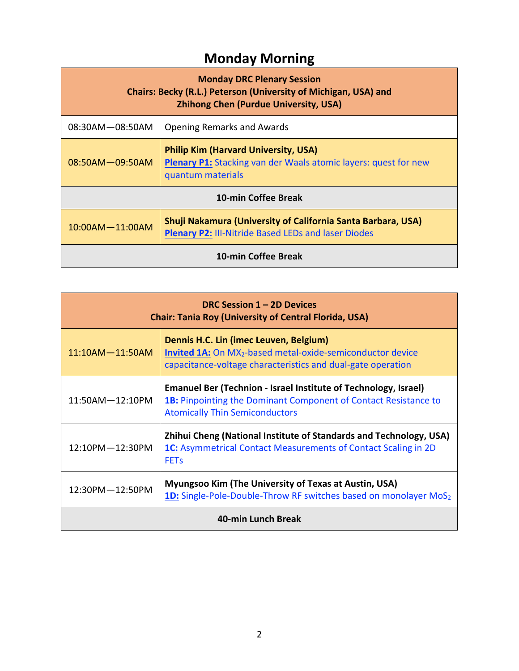# **Monday Morning**

| <b>Monday DRC Plenary Session</b><br>Chairs: Becky (R.L.) Peterson (University of Michigan, USA) and<br><b>Zhihong Chen (Purdue University, USA)</b> |                                                                                                                                            |  |
|------------------------------------------------------------------------------------------------------------------------------------------------------|--------------------------------------------------------------------------------------------------------------------------------------------|--|
| 08:30AM-08:50AM                                                                                                                                      | <b>Opening Remarks and Awards</b>                                                                                                          |  |
| 08:50AM-09:50AM                                                                                                                                      | <b>Philip Kim (Harvard University, USA)</b><br><b>Plenary P1:</b> Stacking van der Waals atomic layers: quest for new<br>quantum materials |  |
| 10-min Coffee Break                                                                                                                                  |                                                                                                                                            |  |
| 10:00AM-11:00AM                                                                                                                                      | Shuji Nakamura (University of California Santa Barbara, USA)<br><b>Plenary P2: III-Nitride Based LEDs and laser Diodes</b>                 |  |
| 10-min Coffee Break                                                                                                                                  |                                                                                                                                            |  |

| DRC Session $1 - 2D$ Devices<br><b>Chair: Tania Roy (University of Central Florida, USA)</b> |                                                                                                                                                                                           |
|----------------------------------------------------------------------------------------------|-------------------------------------------------------------------------------------------------------------------------------------------------------------------------------------------|
| 11:10AM-11:50AM                                                                              | Dennis H.C. Lin (imec Leuven, Belgium)<br><b>Invited 1A:</b> On MX <sub>2</sub> -based metal-oxide-semiconductor device<br>capacitance-voltage characteristics and dual-gate operation    |
| 11:50AM-12:10PM                                                                              | <b>Emanuel Ber (Technion - Israel Institute of Technology, Israel)</b><br><b>1B:</b> Pinpointing the Dominant Component of Contact Resistance to<br><b>Atomically Thin Semiconductors</b> |
| 12:10PM-12:30PM                                                                              | Zhihui Cheng (National Institute of Standards and Technology, USA)<br><b>1C:</b> Asymmetrical Contact Measurements of Contact Scaling in 2D<br><b>FET<sub>S</sub></b>                     |
| 12:30PM-12:50PM                                                                              | Myungsoo Kim (The University of Texas at Austin, USA)<br>1D: Single-Pole-Double-Throw RF switches based on monolayer MoS <sub>2</sub>                                                     |
| 40-min Lunch Break                                                                           |                                                                                                                                                                                           |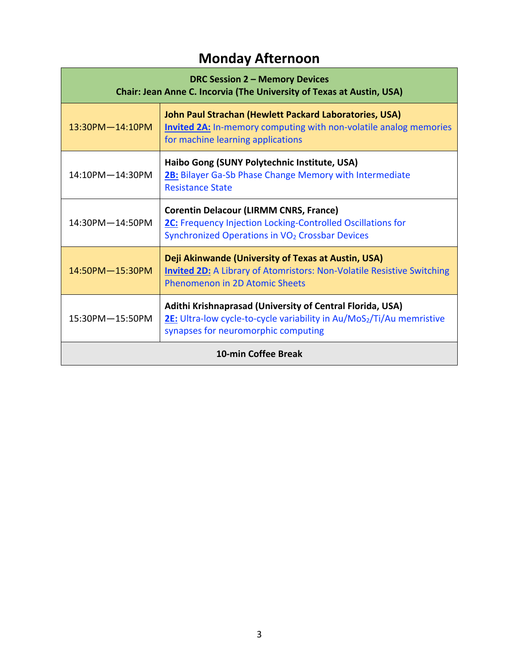# **Monday Afternoon**

| <b>DRC Session 2 - Memory Devices</b><br>Chair: Jean Anne C. Incorvia (The University of Texas at Austin, USA) |                                                                                                                                                                                       |
|----------------------------------------------------------------------------------------------------------------|---------------------------------------------------------------------------------------------------------------------------------------------------------------------------------------|
| 13:30PM-14:10PM                                                                                                | John Paul Strachan (Hewlett Packard Laboratories, USA)<br><b>Invited 2A:</b> In-memory computing with non-volatile analog memories<br>for machine learning applications               |
| 14:10PM-14:30PM                                                                                                | Haibo Gong (SUNY Polytechnic Institute, USA)<br>2B: Bilayer Ga-Sb Phase Change Memory with Intermediate<br><b>Resistance State</b>                                                    |
| 14:30PM-14:50PM                                                                                                | <b>Corentin Delacour (LIRMM CNRS, France)</b><br><b>2C:</b> Frequency Injection Locking-Controlled Oscillations for<br>Synchronized Operations in VO <sub>2</sub> Crossbar Devices    |
| 14:50PM-15:30PM                                                                                                | Deji Akinwande (University of Texas at Austin, USA)<br><b>Invited 2D:</b> A Library of Atomristors: Non-Volatile Resistive Switching<br><b>Phenomenon in 2D Atomic Sheets</b>         |
| 15:30PM-15:50PM                                                                                                | Adithi Krishnaprasad (University of Central Florida, USA)<br>2E: Ultra-low cycle-to-cycle variability in Au/MoS <sub>2</sub> /Ti/Au memristive<br>synapses for neuromorphic computing |
| 10-min Coffee Break                                                                                            |                                                                                                                                                                                       |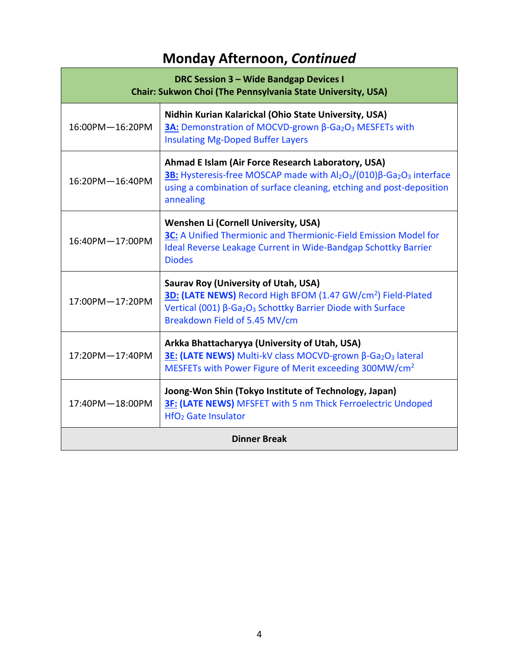# **Monday Afternoon,** *Continued*

| <b>DRC Session 3 - Wide Bandgap Devices I</b><br>Chair: Sukwon Choi (The Pennsylvania State University, USA) |                                                                                                                                                                                                                                                    |
|--------------------------------------------------------------------------------------------------------------|----------------------------------------------------------------------------------------------------------------------------------------------------------------------------------------------------------------------------------------------------|
| 16:00PM-16:20PM                                                                                              | Nidhin Kurian Kalarickal (Ohio State University, USA)<br>3A: Demonstration of MOCVD-grown β-Ga <sub>2</sub> O <sub>3</sub> MESFETs with<br><b>Insulating Mg-Doped Buffer Layers</b>                                                                |
| 16:20PM-16:40PM                                                                                              | Ahmad E Islam (Air Force Research Laboratory, USA)<br>3B: Hysteresis-free MOSCAP made with Al2O <sub>3</sub> /(010)β-Ga <sub>2</sub> O <sub>3</sub> interface<br>using a combination of surface cleaning, etching and post-deposition<br>annealing |
| 16:40PM-17:00PM                                                                                              | Wenshen Li (Cornell University, USA)<br>3C: A Unified Thermionic and Thermionic-Field Emission Model for<br>Ideal Reverse Leakage Current in Wide-Bandgap Schottky Barrier<br><b>Diodes</b>                                                        |
| 17:00PM-17:20PM                                                                                              | <b>Saurav Roy (University of Utah, USA)</b><br>3D: (LATE NEWS) Record High BFOM (1.47 GW/cm <sup>2</sup> ) Field-Plated<br>Vertical (001) β-Ga <sub>2</sub> O <sub>3</sub> Schottky Barrier Diode with Surface<br>Breakdown Field of 5.45 MV/cm    |
| 17:20PM-17:40PM                                                                                              | Arkka Bhattacharyya (University of Utah, USA)<br>3E: (LATE NEWS) Multi-kV class MOCVD-grown β-Ga2O3 lateral<br>MESFETs with Power Figure of Merit exceeding 300MW/cm <sup>2</sup>                                                                  |
| 17:40PM-18:00PM                                                                                              | Joong-Won Shin (Tokyo Institute of Technology, Japan)<br>3F: (LATE NEWS) MFSFET with 5 nm Thick Ferroelectric Undoped<br>HfO <sub>2</sub> Gate Insulator                                                                                           |
| <b>Dinner Break</b>                                                                                          |                                                                                                                                                                                                                                                    |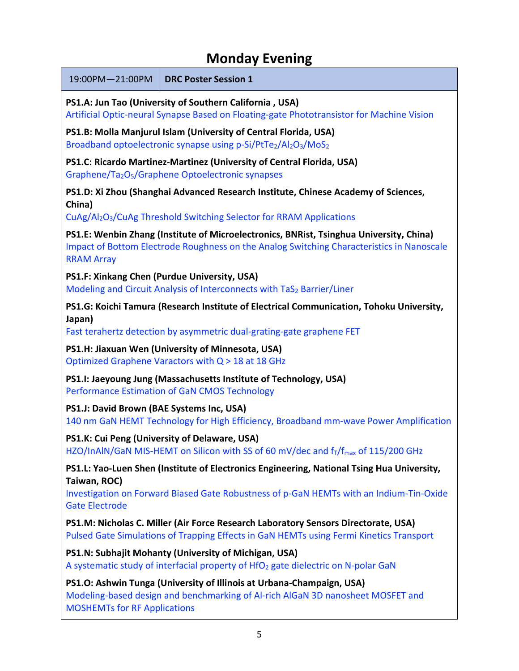### **Monday Evening**

| 19:00PM-21:00PM                                                                                                                                                                                           | <br>.<br><b>DRC Poster Session 1</b>                                                                                                                                                  |  |
|-----------------------------------------------------------------------------------------------------------------------------------------------------------------------------------------------------------|---------------------------------------------------------------------------------------------------------------------------------------------------------------------------------------|--|
| PS1.A: Jun Tao (University of Southern California, USA)<br>Artificial Optic-neural Synapse Based on Floating-gate Phototransistor for Machine Vision                                                      |                                                                                                                                                                                       |  |
| PS1.B: Molla Manjurul Islam (University of Central Florida, USA)<br>Broadband optoelectronic synapse using p-Si/PtTe <sub>2</sub> /Al <sub>2</sub> O <sub>3</sub> /MoS <sub>2</sub>                       |                                                                                                                                                                                       |  |
| PS1.C: Ricardo Martinez-Martinez (University of Central Florida, USA)<br>Graphene/Ta <sub>2</sub> O <sub>5</sub> /Graphene Optoelectronic synapses                                                        |                                                                                                                                                                                       |  |
| China)                                                                                                                                                                                                    | PS1.D: Xi Zhou (Shanghai Advanced Research Institute, Chinese Academy of Sciences,<br>CuAg/Al <sub>2</sub> O <sub>3</sub> /CuAg Threshold Switching Selector for RRAM Applications    |  |
| PS1.E: Wenbin Zhang (Institute of Microelectronics, BNRist, Tsinghua University, China)<br>Impact of Bottom Electrode Roughness on the Analog Switching Characteristics in Nanoscale<br><b>RRAM Array</b> |                                                                                                                                                                                       |  |
|                                                                                                                                                                                                           | PS1.F: Xinkang Chen (Purdue University, USA)<br>Modeling and Circuit Analysis of Interconnects with TaS <sub>2</sub> Barrier/Liner                                                    |  |
| PS1.G: Koichi Tamura (Research Institute of Electrical Communication, Tohoku University,<br>Japan)<br>Fast terahertz detection by asymmetric dual-grating-gate graphene FET                               |                                                                                                                                                                                       |  |
|                                                                                                                                                                                                           | PS1.H: Jiaxuan Wen (University of Minnesota, USA)<br>Optimized Graphene Varactors with Q > 18 at 18 GHz                                                                               |  |
|                                                                                                                                                                                                           | PS1.I: Jaeyoung Jung (Massachusetts Institute of Technology, USA)<br><b>Performance Estimation of GaN CMOS Technology</b>                                                             |  |
| PS1.J: David Brown (BAE Systems Inc, USA)                                                                                                                                                                 | 140 nm GaN HEMT Technology for High Efficiency, Broadband mm-wave Power Amplification                                                                                                 |  |
|                                                                                                                                                                                                           | PS1.K: Cui Peng (University of Delaware, USA)<br>HZO/InAIN/GaN MIS-HEMT on Silicon with SS of 60 mV/dec and f <sub>T</sub> /f <sub>max</sub> of 115/200 GHz                           |  |
| Taiwan, ROC)<br><b>Gate Electrode</b>                                                                                                                                                                     | PS1.L: Yao-Luen Shen (Institute of Electronics Engineering, National Tsing Hua University,<br>Investigation on Forward Biased Gate Robustness of p-GaN HEMTs with an Indium-Tin-Oxide |  |
| PS1.M: Nicholas C. Miller (Air Force Research Laboratory Sensors Directorate, USA)<br>Pulsed Gate Simulations of Trapping Effects in GaN HEMTs using Fermi Kinetics Transport                             |                                                                                                                                                                                       |  |
|                                                                                                                                                                                                           | PS1.N: Subhajit Mohanty (University of Michigan, USA)<br>A systematic study of interfacial property of HfO <sub>2</sub> gate dielectric on N-polar GaN                                |  |
| <b>MOSHEMTs for RF Applications</b>                                                                                                                                                                       | PS1.O: Ashwin Tunga (University of Illinois at Urbana-Champaign, USA)<br>Modeling-based design and benchmarking of Al-rich AlGaN 3D nanosheet MOSFET and                              |  |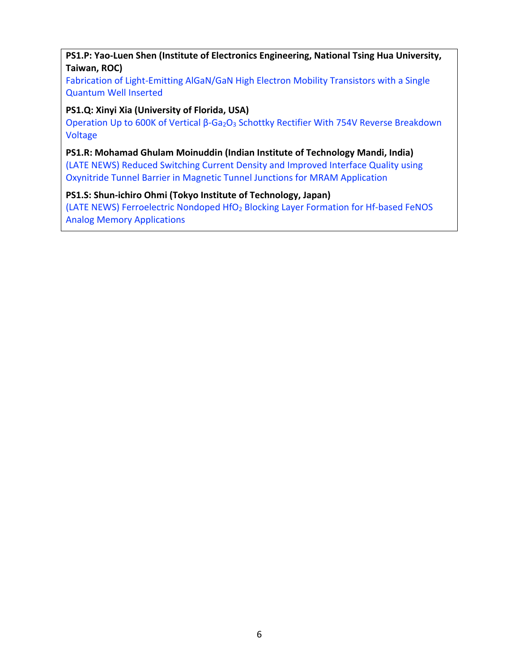**PS1.P: Yao‐Luen Shen (Institute of Electronics Engineering, National Tsing Hua University, Taiwan, ROC)**

Fabrication of Light-Emitting AlGaN/GaN High Electron Mobility Transistors with a Single Quantum Well Inserted

#### **PS1.Q: Xinyi Xia (University of Florida, USA)**

Operation Up to 600K of Vertical β-Ga<sub>2</sub>O<sub>3</sub> Schottky Rectifier With 754V Reverse Breakdown Voltage

**PS1.R: Mohamad Ghulam Moinuddin (Indian Institute of Technology Mandi, India)**

(LATE NEWS) Reduced Switching Current Density and Improved Interface Quality using Oxynitride Tunnel Barrier in Magnetic Tunnel Junctions for MRAM Application

#### **PS1.S: Shun‐ichiro Ohmi (Tokyo Institute of Technology, Japan)**

(LATE NEWS) Ferroelectric Nondoped HfO<sub>2</sub> Blocking Layer Formation for Hf-based FeNOS Analog Memory Applications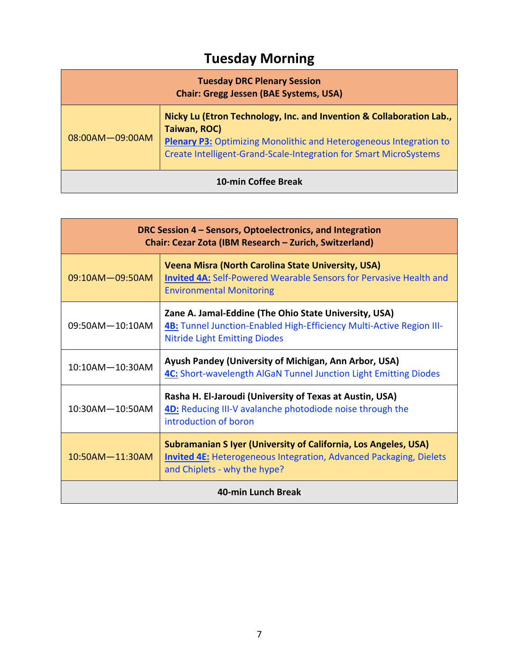# **Tuesday Morning**

| <b>Tuesday DRC Plenary Session</b><br><b>Chair: Gregg Jessen (BAE Systems, USA)</b> |                                                                                                                                                                                                                                        |
|-------------------------------------------------------------------------------------|----------------------------------------------------------------------------------------------------------------------------------------------------------------------------------------------------------------------------------------|
| 08:00AM-09:00AM                                                                     | Nicky Lu (Etron Technology, Inc. and Invention & Collaboration Lab.,<br>Taiwan, ROC)<br><b>Plenary P3: Optimizing Monolithic and Heterogeneous Integration to</b><br>Create Intelligent-Grand-Scale-Integration for Smart MicroSystems |
| <b>10-min Coffee Break</b>                                                          |                                                                                                                                                                                                                                        |

| DRC Session 4 – Sensors, Optoelectronics, and Integration<br>Chair: Cezar Zota (IBM Research - Zurich, Switzerland) |                                                                                                                                                                                     |
|---------------------------------------------------------------------------------------------------------------------|-------------------------------------------------------------------------------------------------------------------------------------------------------------------------------------|
| 09:10AM-09:50AM                                                                                                     | <b>Veena Misra (North Carolina State University, USA)</b><br><b>Invited 4A:</b> Self-Powered Wearable Sensors for Pervasive Health and<br><b>Environmental Monitoring</b>           |
| 09:50AM-10:10AM                                                                                                     | Zane A. Jamal-Eddine (The Ohio State University, USA)<br>4B: Tunnel Junction-Enabled High-Efficiency Multi-Active Region III-<br><b>Nitride Light Emitting Diodes</b>               |
| 10:10AM-10:30AM                                                                                                     | Ayush Pandey (University of Michigan, Ann Arbor, USA)<br>4C: Short-wavelength AlGaN Tunnel Junction Light Emitting Diodes                                                           |
| $10:30AM - 10:50AM$                                                                                                 | Rasha H. El-Jaroudi (University of Texas at Austin, USA)<br>4D: Reducing III-V avalanche photodiode noise through the<br>introduction of boron                                      |
| 10:50AM-11:30AM                                                                                                     | <b>Subramanian S Iyer (University of California, Los Angeles, USA)</b><br><b>Invited 4E:</b> Heterogeneous Integration, Advanced Packaging, Dielets<br>and Chiplets - why the hype? |
| 40-min Lunch Break                                                                                                  |                                                                                                                                                                                     |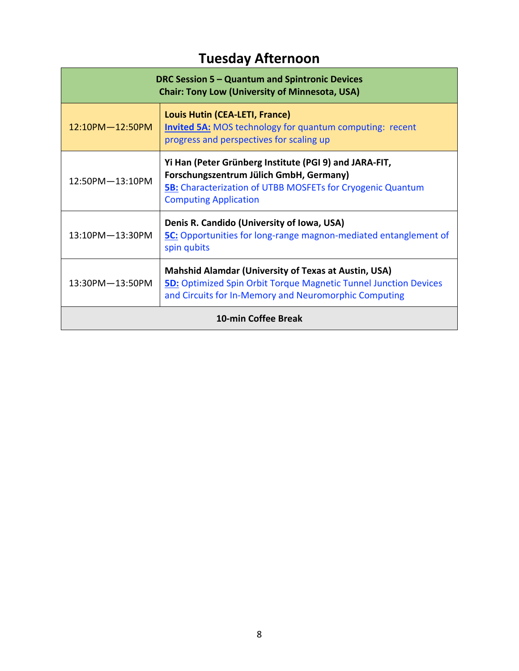# **Tuesday Afternoon**

| <b>DRC Session 5 - Quantum and Spintronic Devices</b><br><b>Chair: Tony Low (University of Minnesota, USA)</b> |                                                                                                                                                                                                        |
|----------------------------------------------------------------------------------------------------------------|--------------------------------------------------------------------------------------------------------------------------------------------------------------------------------------------------------|
| 12:10PM-12:50PM                                                                                                | Louis Hutin (CEA-LETI, France)<br><b>Invited 5A: MOS technology for quantum computing: recent</b><br>progress and perspectives for scaling up                                                          |
| 12:50PM-13:10PM                                                                                                | Yi Han (Peter Grünberg Institute (PGI 9) and JARA-FIT,<br>Forschungszentrum Jülich GmbH, Germany)<br><b>5B:</b> Characterization of UTBB MOSFETs for Cryogenic Quantum<br><b>Computing Application</b> |
| 13:10PM-13:30PM                                                                                                | Denis R. Candido (University of Iowa, USA)<br><b>5C:</b> Opportunities for long-range magnon-mediated entanglement of<br>spin qubits                                                                   |
| 13:30PM-13:50PM                                                                                                | <b>Mahshid Alamdar (University of Texas at Austin, USA)</b><br><b>5D:</b> Optimized Spin Orbit Torque Magnetic Tunnel Junction Devices<br>and Circuits for In-Memory and Neuromorphic Computing        |
| 10-min Coffee Break                                                                                            |                                                                                                                                                                                                        |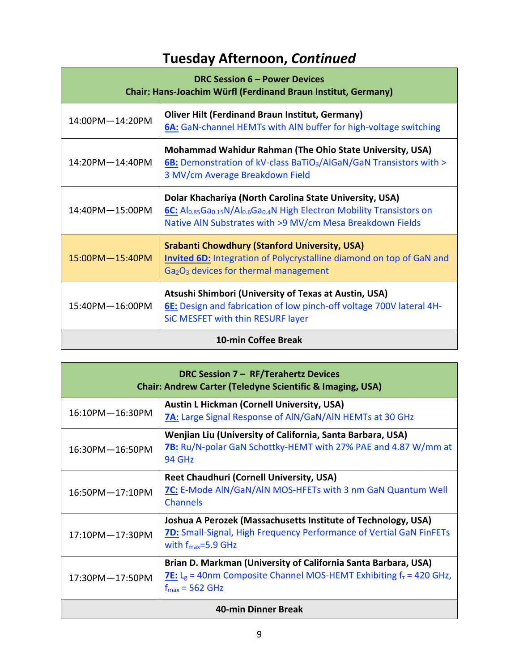# **Tuesday Afternoon,** *Continued*

| DRC Session 6 – Power Devices<br>Chair: Hans-Joachim Würfl (Ferdinand Braun Institut, Germany) |                                                                                                                                                                                                                                                 |
|------------------------------------------------------------------------------------------------|-------------------------------------------------------------------------------------------------------------------------------------------------------------------------------------------------------------------------------------------------|
| 14:00PM-14:20PM                                                                                | <b>Oliver Hilt (Ferdinand Braun Institut, Germany)</b><br>6A: GaN-channel HEMTs with AIN buffer for high-voltage switching                                                                                                                      |
| 14:20PM-14:40PM                                                                                | <b>Mohammad Wahidur Rahman (The Ohio State University, USA)</b><br>6B: Demonstration of kV-class BaTiO <sub>3</sub> /AlGaN/GaN Transistors with ><br>3 MV/cm Average Breakdown Field                                                            |
| 14:40PM-15:00PM                                                                                | Dolar Khachariya (North Carolina State University, USA)<br>6C: Al <sub>0.85</sub> Ga <sub>0.15</sub> N/Al <sub>0.6</sub> Ga <sub>0.4</sub> N High Electron Mobility Transistors on<br>Native AIN Substrates with >9 MV/cm Mesa Breakdown Fields |
| 15:00PM-15:40PM                                                                                | <b>Srabanti Chowdhury (Stanford University, USA)</b><br><b>Invited 6D:</b> Integration of Polycrystalline diamond on top of GaN and<br>Ga <sub>2</sub> O <sub>3</sub> devices for thermal management                                            |
| 15:40PM-16:00PM                                                                                | Atsushi Shimbori (University of Texas at Austin, USA)<br>6E: Design and fabrication of low pinch-off voltage 700V lateral 4H-<br>SiC MESFET with thin RESURF layer                                                                              |
| 10-min Coffee Break                                                                            |                                                                                                                                                                                                                                                 |

| <b>DRC Session 7 - RF/Terahertz Devices</b><br><b>Chair: Andrew Carter (Teledyne Scientific &amp; Imaging, USA)</b> |                                                                                                                                                                                           |
|---------------------------------------------------------------------------------------------------------------------|-------------------------------------------------------------------------------------------------------------------------------------------------------------------------------------------|
| 16:10PM-16:30PM                                                                                                     | <b>Austin L Hickman (Cornell University, USA)</b><br><b>7A:</b> Large Signal Response of AIN/GaN/AIN HEMTs at 30 GHz                                                                      |
| 16:30PM-16:50PM                                                                                                     | Wenjian Liu (University of California, Santa Barbara, USA)<br>7B: Ru/N-polar GaN Schottky-HEMT with 27% PAE and 4.87 W/mm at<br>94 GHz                                                    |
| 16:50PM-17:10PM                                                                                                     | <b>Reet Chaudhuri (Cornell University, USA)</b><br>7C: E-Mode AIN/GaN/AIN MOS-HFETs with 3 nm GaN Quantum Well<br><b>Channels</b>                                                         |
| 17:10PM-17:30PM                                                                                                     | Joshua A Perozek (Massachusetts Institute of Technology, USA)<br><b>7D:</b> Small-Signal, High Frequency Performance of Vertial GaN FinFETs<br>with $f_{max}=5.9$ GHz                     |
| 17:30PM-17:50PM                                                                                                     | Brian D. Markman (University of California Santa Barbara, USA)<br><b>7E:</b> L <sub>g</sub> = 40nm Composite Channel MOS-HEMT Exhibiting $f\tau$ = 420 GHz,<br>$f_{\text{max}}$ = 562 GHz |
| 40-min Dinner Break                                                                                                 |                                                                                                                                                                                           |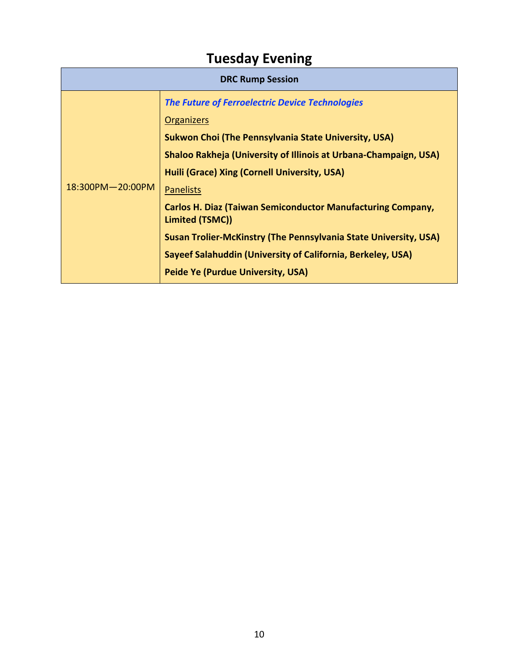# **Tuesday Evening**

| <b>DRC Rump Session</b> |                                                                                                                                                                                                                                                                                                                                                                                                                                                                                                                                                                   |
|-------------------------|-------------------------------------------------------------------------------------------------------------------------------------------------------------------------------------------------------------------------------------------------------------------------------------------------------------------------------------------------------------------------------------------------------------------------------------------------------------------------------------------------------------------------------------------------------------------|
| $18:300$ PM $-20:00$ PM | <b>The Future of Ferroelectric Device Technologies</b><br><b>Organizers</b><br><b>Sukwon Choi (The Pennsylvania State University, USA)</b><br>Shaloo Rakheja (University of Illinois at Urbana-Champaign, USA)<br>Huili (Grace) Xing (Cornell University, USA)<br><b>Panelists</b><br><b>Carlos H. Diaz (Taiwan Semiconductor Manufacturing Company,</b><br>Limited (TSMC))<br><b>Susan Trolier-McKinstry (The Pennsylvania State University, USA)</b><br>Sayeef Salahuddin (University of California, Berkeley, USA)<br><b>Peide Ye (Purdue University, USA)</b> |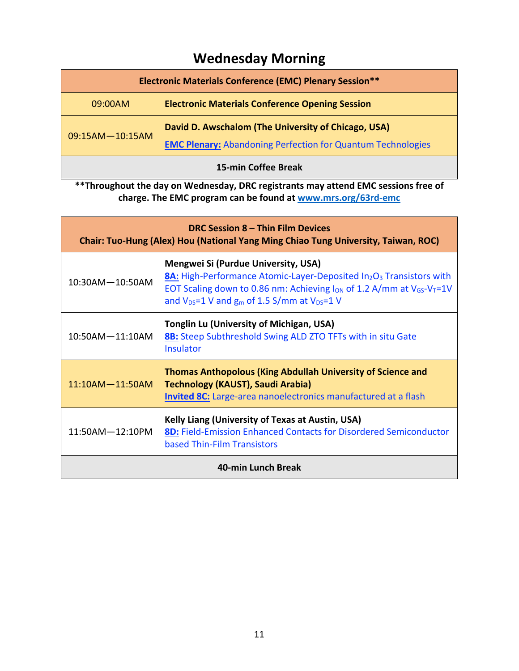## **Wednesday Morning**

| <b>Electronic Materials Conference (EMC) Plenary Session**</b> |                                                                                                                           |  |
|----------------------------------------------------------------|---------------------------------------------------------------------------------------------------------------------------|--|
| 09:00AM                                                        | <b>Electronic Materials Conference Opening Session</b>                                                                    |  |
| $09:15AM - 10:15AM$                                            | David D. Awschalom (The University of Chicago, USA)<br><b>EMC Plenary:</b> Abandoning Perfection for Quantum Technologies |  |
| <b>15-min Coffee Break</b>                                     |                                                                                                                           |  |

**\*\*Throughout the day on Wednesday, DRC registrants may attend EMC sessions free of charge. The EMC program can be found at www.mrs.org/63rd‐emc**

| <b>DRC Session 8 – Thin Film Devices</b><br>Chair: Tuo-Hung (Alex) Hou (National Yang Ming Chiao Tung University, Taiwan, ROC) |                                                                                                                                                                                                                                                                                              |  |
|--------------------------------------------------------------------------------------------------------------------------------|----------------------------------------------------------------------------------------------------------------------------------------------------------------------------------------------------------------------------------------------------------------------------------------------|--|
| 10:30AM-10:50AM                                                                                                                | <b>Mengwei Si (Purdue University, USA)</b><br><b>8A:</b> High-Performance Atomic-Layer-Deposited In <sub>2</sub> O <sub>3</sub> Transistors with<br>EOT Scaling down to 0.86 nm: Achieving $I_{ON}$ of 1.2 A/mm at $V_{GS}-V_T=1V$<br>and $V_{DS}=1$ V and $g_m$ of 1.5 S/mm at $V_{DS}=1$ V |  |
| 10:50AM-11:10AM                                                                                                                | <b>Tonglin Lu (University of Michigan, USA)</b><br><b>8B:</b> Steep Subthreshold Swing ALD ZTO TFTs with in situ Gate<br><b>Insulator</b>                                                                                                                                                    |  |
| $11:10AM - 11:50AM$                                                                                                            | Thomas Anthopolous (King Abdullah University of Science and<br><b>Technology (KAUST), Saudi Arabia)</b><br><b>Invited 8C:</b> Large-area nanoelectronics manufactured at a flash                                                                                                             |  |
| 11:50AM-12:10PM                                                                                                                | <b>Kelly Liang (University of Texas at Austin, USA)</b><br>8D: Field-Emission Enhanced Contacts for Disordered Semiconductor<br>based Thin-Film Transistors                                                                                                                                  |  |
| 40-min Lunch Break                                                                                                             |                                                                                                                                                                                                                                                                                              |  |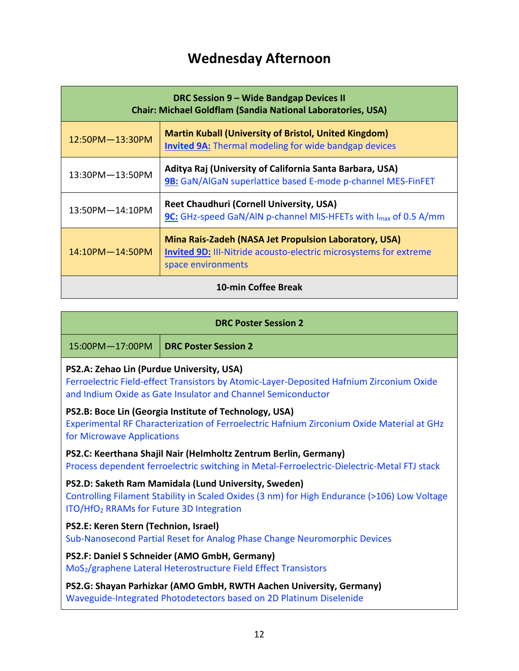### **Wednesday Afternoon**

| DRC Session 9 - Wide Bandgap Devices II<br><b>Chair: Michael Goldflam (Sandia National Laboratories, USA)</b> |                                                                                                                                                         |  |
|---------------------------------------------------------------------------------------------------------------|---------------------------------------------------------------------------------------------------------------------------------------------------------|--|
| 12:50PM-13:30PM                                                                                               | <b>Martin Kuball (University of Bristol, United Kingdom)</b><br><b>Invited 9A:</b> Thermal modeling for wide bandgap devices                            |  |
| 13:30PM-13:50PM                                                                                               | Aditya Raj (University of California Santa Barbara, USA)<br>9B: GaN/AlGaN superlattice based E-mode p-channel MES-FinFET                                |  |
| 13:50PM-14:10PM                                                                                               | <b>Reet Chaudhuri (Cornell University, USA)</b><br>9C: GHz-speed GaN/AIN p-channel MIS-HFETs with I <sub>max</sub> of 0.5 A/mm                          |  |
| $14:10$ PM $-14:50$ PM                                                                                        | Mina Rais-Zadeh (NASA Jet Propulsion Laboratory, USA)<br><b>Invited 9D: III-Nitride acousto-electric microsystems for extreme</b><br>space environments |  |
| 10-min Coffee Break                                                                                           |                                                                                                                                                         |  |

#### **DRC Poster Session 2**

| 15:00PM-17:00PM                           | DRC Poster Session 2                                                                                                                                     |
|-------------------------------------------|----------------------------------------------------------------------------------------------------------------------------------------------------------|
| PS2.A: Zehao Lin (Purdue University, USA) | Ferroelectric Field-effect Transistors by Atomic-Layer-Deposited Hafnium Zirconium Oxide<br>and Indium Oxide as Gate Insulator and Channel Semiconductor |
| for Microwave Applications                | PS2.B: Boce Lin (Georgia Institute of Technology, USA)<br>Experimental RF Characterization of Ferroelectric Hafnium Zirconium Oxide Material at GHz      |
|                                           | PS2.C: Keerthana Shajil Nair (Helmholtz Zentrum Berlin, Germany)                                                                                         |

Process dependent ferroelectric switching in Metal‐Ferroelectric‐Dielectric‐Metal FTJ stack

### **PS2.D: Saketh Ram Mamidala (Lund University, Sweden)** Controlling Filament Stability in Scaled Oxides (3 nm) for High Endurance (>106) Low Voltage ITO/HfO2 RRAMs for Future 3D Integration

#### **PS2.E: Keren Stern (Technion, Israel)**

Sub‐Nanosecond Partial Reset for Analog Phase Change Neuromorphic Devices

#### **PS2.F: Daniel S Schneider (AMO GmbH, Germany)**

MoS2/graphene Lateral Heterostructure Field Effect Transistors

**PS2.G: Shayan Parhizkar (AMO GmbH, RWTH Aachen University, Germany)** Waveguide‐Integrated Photodetectors based on 2D Platinum Diselenide